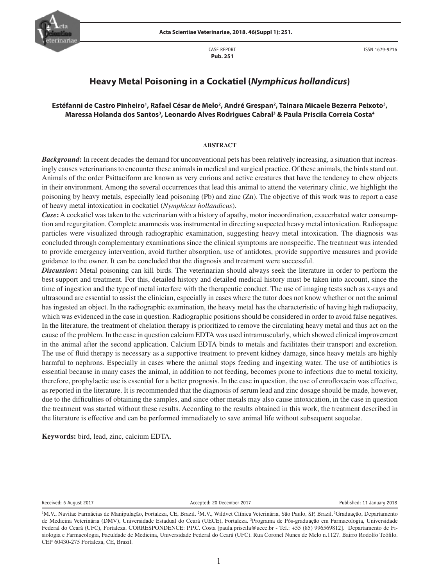CASE REPORT  **Pub. 251**



ISSN 1679-9216

# **Heavy Metal Poisoning in a Cockatiel (***Nymphicus hollandicus***)**

# Estéfanni de Castro Pinheiro<sup>1</sup>, Rafael César de Melo<sup>2</sup>, André Grespan<sup>2</sup>, Tainara Micaele Bezerra Peixoto<sup>3</sup>, **Maressa Holanda dos Santos3 , Leonardo Alves Rodrigues Cabral3 & Paula Priscila Correia Costa4**

### **ABSTRACT**

*Background***:** In recent decades the demand for unconventional pets has been relatively increasing, a situation that increasingly causes veterinarians to encounter these animals in medical and surgical practice. Of these animals, the birds stand out. Animals of the order Psittaciform are known as very curious and active creatures that have the tendency to chew objects in their environment. Among the several occurrences that lead this animal to attend the veterinary clinic, we highlight the poisoning by heavy metals, especially lead poisoning (Pb) and zinc (Zn). The objective of this work was to report a case of heavy metal intoxication in cockatiel (*Nymphicus hollandicus*).

*Case***:** A cockatiel was taken to the veterinarian with a history of apathy, motor incoordination, exacerbated water consumption and regurgitation. Complete anamnesis was instrumental in directing suspected heavy metal intoxication. Radiopaque particles were visualized through radiographic examination, suggesting heavy metal intoxication. The diagnosis was concluded through complementary examinations since the clinical symptoms are nonspecific. The treatment was intended to provide emergency intervention, avoid further absorption, use of antidotes, provide supportive measures and provide guidance to the owner. It can be concluded that the diagnosis and treatment were successful.

*Discussion***:** Metal poisoning can kill birds. The veterinarian should always seek the literature in order to perform the best support and treatment. For this, detailed history and detailed medical history must be taken into account, since the time of ingestion and the type of metal interfere with the therapeutic conduct. The use of imaging tests such as x-rays and ultrasound are essential to assist the clinician, especially in cases where the tutor does not know whether or not the animal has ingested an object. In the radiographic examination, the heavy metal has the characteristic of having high radiopacity, which was evidenced in the case in question. Radiographic positions should be considered in order to avoid false negatives. In the literature, the treatment of chelation therapy is prioritized to remove the circulating heavy metal and thus act on the cause of the problem. In the case in question calcium EDTA was used intramuscularly, which showed clinical improvement in the animal after the second application. Calcium EDTA binds to metals and facilitates their transport and excretion. The use of fluid therapy is necessary as a supportive treatment to prevent kidney damage, since heavy metals are highly harmful to nephrons. Especially in cases where the animal stops feeding and ingesting water. The use of antibiotics is essential because in many cases the animal, in addition to not feeding, becomes prone to infections due to metal toxicity, therefore, prophylactic use is essential for a better prognosis. In the case in question, the use of enrofloxacin was effective, as reported in the literature. It is recommended that the diagnosis of serum lead and zinc dosage should be made, however, due to the difficulties of obtaining the samples, and since other metals may also cause intoxication, in the case in question the treatment was started without these results. According to the results obtained in this work, the treatment described in the literature is effective and can be performed immediately to save animal life without subsequent sequelae.

**Keywords:** bird, lead, zinc, calcium EDTA.

Received: 6 August 2017 The Company 2018 Accepted: 20 December 2017 The Company 2018 Published: 11 January 2018

<sup>&</sup>lt;sup>1</sup>M.V., Navitae Farmácias de Manipulação, Fortaleza, CE, Brazil. <sup>2</sup>M.V., Wildvet Clínica Veterinária, São Paulo, SP, Brazil. <sup>3</sup>Graduação, Departamento de Medicina Veterinária (DMV), Universidade Estadual do Ceará (UECE), Fortaleza. <sup>3</sup>Programa de Pós-graduação em Farmacologia, Universidade Federal do Ceará (UFC), Fortaleza. CORRESPONDENCE: P.P.C. Costa [paula.priscila@uece.br - Tel.: +55 (85) 996569812]. Departamento de Fisiologia e Farmacologia, Faculdade de Medicina, Universidade Federal do Ceará (UFC). Rua Coronel Nunes de Melo n.1127. Bairro Rodolfo Teófilo. CEP 60430-275 Fortaleza, CE, Brazil.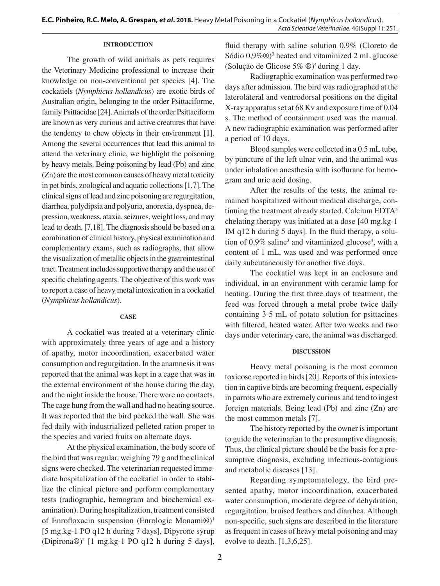# **INTRODUCTION**

The growth of wild animals as pets requires the Veterinary Medicine professional to increase their knowledge on non-conventional pet species [4]. The cockatiels (*Nymphicus hollandicus*) are exotic birds of Australian origin, belonging to the order Psittaciforme, family Psittacidae [24]. Animals of the order Psittaciform are known as very curious and active creatures that have the tendency to chew objects in their environment [1]. Among the several occurrences that lead this animal to attend the veterinary clinic, we highlight the poisoning by heavy metals. Being poisoning by lead (Pb) and zinc (Zn) are the most common causes of heavy metal toxicity in pet birds, zoological and aquatic collections [1,7]. The clinical signs of lead and zinc poisoning are regurgitation, diarrhea, polydipsia and polyuria, anorexia, dyspnea, depression, weakness, ataxia, seizures, weight loss, and may lead to death. [7,18]. The diagnosis should be based on a combination of clinical history, physical examination and complementary exams, such as radiographs, that allow the visualization of metallic objects in the gastrointestinal tract. Treatment includes supportive therapy and the use of specific chelating agents. The objective of this work was to report a case of heavy metal intoxication in a cockatiel (*Nymphicus hollandicus*).

### **CASE**

A cockatiel was treated at a veterinary clinic with approximately three years of age and a history of apathy, motor incoordination, exacerbated water consumption and regurgitation. In the anamnesis it was reported that the animal was kept in a cage that was in the external environment of the house during the day, and the night inside the house. There were no contacts. The cage hung from the wall and had no heating source. It was reported that the bird pecked the wall. She was fed daily with industrialized pelleted ration proper to the species and varied fruits on alternate days.

At the physical examination, the body score of the bird that was regular, weighing 79 g and the clinical signs were checked. The veterinarian requested immediate hospitalization of the cockatiel in order to stabilize the clinical picture and perform complementary tests (radiographic, hemogram and biochemical examination). During hospitalization, treatment consisted of Enrofloxacin suspension (Enrologic Monami®)1 [5 mg.kg-1 PO q12 h during 7 days], Dipyrone syrup  $(Dipirona@)^2$  [1 mg.kg-1 PO q12 h during 5 days], fluid therapy with saline solution 0.9% (Cloreto de Sódio 0,9%<sup>®</sup>)<sup>3</sup> heated and vitaminized 2 mL glucose (Solução de Glicose 5% ®)4 during 1 day.

Radiographic examination was performed two days after admission. The bird was radiographed at the laterolateral and ventrodorsal positions on the digital X-ray apparatus set at 68 Kv and exposure time of 0.04 s. The method of containment used was the manual. A new radiographic examination was performed after a period of 10 days.

Blood samples were collected in a 0.5 mL tube, by puncture of the left ulnar vein, and the animal was under inhalation anesthesia with isoflurane for hemogram and uric acid dosing.

After the results of the tests, the animal remained hospitalized without medical discharge, continuing the treatment already started. Calcium EDTA<sup>5</sup> chelating therapy was initiated at a dose [40 mg.kg-1 IM q12 h during 5 days]. In the fluid therapy, a solution of  $0.9\%$  saline<sup>3</sup> and vitaminized glucose<sup>4</sup>, with a content of 1 mL, was used and was performed once daily subcutaneously for another five days.

The cockatiel was kept in an enclosure and individual, in an environment with ceramic lamp for heating. During the first three days of treatment, the feed was forced through a metal probe twice daily containing 3-5 mL of potato solution for psittacines with filtered, heated water. After two weeks and two days under veterinary care, the animal was discharged.

#### **DISCUSSION**

Heavy metal poisoning is the most common toxicose reported in birds [20]. Reports of this intoxication in captive birds are becoming frequent, especially in parrots who are extremely curious and tend to ingest foreign materials. Being lead (Pb) and zinc (Zn) are the most common metals [7].

The history reported by the owner is important to guide the veterinarian to the presumptive diagnosis. Thus, the clinical picture should be the basis for a presumptive diagnosis, excluding infectious-contagious and metabolic diseases [13].

Regarding symptomatology, the bird presented apathy, motor incoordination, exacerbated water consumption, moderate degree of dehydration, regurgitation, bruised feathers and diarrhea. Although non-specific, such signs are described in the literature as frequent in cases of heavy metal poisoning and may evolve to death. [1,3,6,25].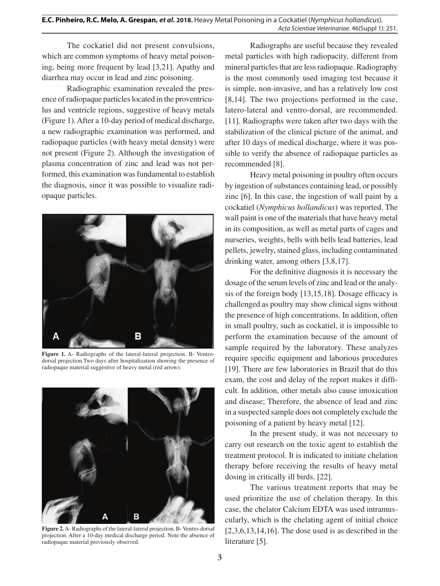The cockatiel did not present convulsions, which are common symptoms of heavy metal poisoning, being more frequent by lead [3,21]. Apathy and diarrhea may occur in lead and zinc poisoning.

Radiographic examination revealed the presence of radiopaque particles located in the proventriculus and ventricle regions, suggestive of heavy metals (Figure 1). After a 10-day period of medical discharge, a new radiographic examination was performed, and radiopaque particles (with heavy metal density) were not present (Figure 2). Although the investigation of plasma concentration of zinc and lead was not performed, this examination was fundamental to establish the diagnosis, since it was possible to visualize radiopaque particles.



**Figure 1.** A- Radiographs of the lateral-lateral projection. B- Ventrodorsal projection.Two days after hospitalization showing the presence of radiopaque material suggestive of heavy metal (red arrow).



**Figure 2.** A- Radiographs of the lateral-lateral projection. B- Ventro-dorsal projection. After a 10-day medical discharge period. Note the absence of radiopaque material previously observed.

Radiographs are useful because they revealed metal particles with high radiopacity, different from mineral particles that are less radiopaque. Radiography is the most commonly used imaging test because it is simple, non-invasive, and has a relatively low cost [8,14]. The two projections performed in the case, latero-lateral and ventro-dorsal, are recommended. [11]. Radiographs were taken after two days with the stabilization of the clinical picture of the animal, and after 10 days of medical discharge, where it was possible to verify the absence of radiopaque particles as recommended [8].

Heavy metal poisoning in poultry often occurs by ingestion of substances containing lead, or possibly zinc [6]. In this case, the ingestion of wall paint by a cockatiel (*Nymphicus hollandicus*) was reported. The wall paint is one of the materials that have heavy metal in its composition, as well as metal parts of cages and nurseries, weights, bells with bells lead batteries, lead pellets, jewelry, stained glass, including contaminated drinking water, among others [3,8,17].

For the definitive diagnosis it is necessary the dosage of the serum levels of zinc and lead or the analysis of the foreign body [13,15,18]. Dosage efficacy is challenged as poultry may show clinical signs without the presence of high concentrations. In addition, often in small poultry, such as cockatiel, it is impossible to perform the examination because of the amount of sample required by the laboratory. These analyzes require specific equipment and laborious procedures [19]. There are few laboratories in Brazil that do this exam, the cost and delay of the report makes it difficult. In addition, other metals also cause intoxication and disease; Therefore, the absence of lead and zinc in a suspected sample does not completely exclude the poisoning of a patient by heavy metal [12].

In the present study, it was not necessary to carry out research on the toxic agent to establish the treatment protocol. It is indicated to initiate chelation therapy before receiving the results of heavy metal dosing in critically ill birds. [22].

The various treatment reports that may be used prioritize the use of chelation therapy. In this case, the chelator Calcium EDTA was used intramuscularly, which is the chelating agent of initial choice  $[2,3,6,13,14,16]$ . The dose used is as described in the literature [5].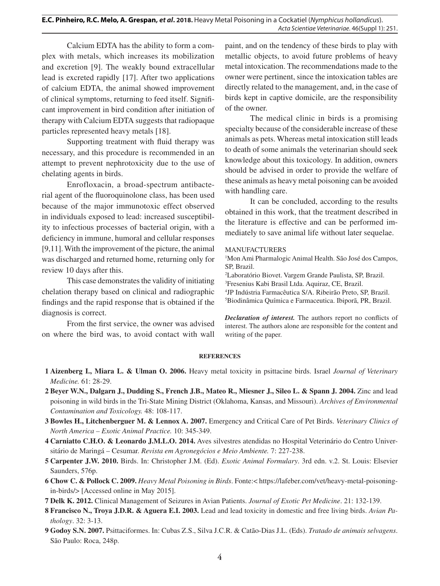# **E.C. Pinheiro, R.C. Melo, A. Grespan,** *et al***. 2018.** Heavy Metal Poisoning in a Cockatiel (*Nymphicus hollandicus*). *Acta Scientiae Veterinariae*. 46(Suppl 1): 251.

Calcium EDTA has the ability to form a complex with metals, which increases its mobilization and excretion [9]. The weakly bound extracellular lead is excreted rapidly [17]. After two applications of calcium EDTA, the animal showed improvement of clinical symptoms, returning to feed itself. Significant improvement in bird condition after initiation of therapy with Calcium EDTA suggests that radiopaque particles represented heavy metals [18].

Supporting treatment with fluid therapy was necessary, and this procedure is recommended in an attempt to prevent nephrotoxicity due to the use of chelating agents in birds.

Enrofloxacin, a broad-spectrum antibacterial agent of the fluoroquinolone class, has been used because of the major immunotoxic effect observed in individuals exposed to lead: increased susceptibility to infectious processes of bacterial origin, with a deficiency in immune, humoral and cellular responses [9,11]. With the improvement of the picture, the animal was discharged and returned home, returning only for review 10 days after this.

This case demonstrates the validity of initiating chelation therapy based on clinical and radiographic findings and the rapid response that is obtained if the diagnosis is correct.

From the first service, the owner was advised on where the bird was, to avoid contact with wall

paint, and on the tendency of these birds to play with metallic objects, to avoid future problems of heavy metal intoxication. The recommendations made to the owner were pertinent, since the intoxication tables are directly related to the management, and, in the case of birds kept in captive domicile, are the responsibility of the owner.

The medical clinic in birds is a promising specialty because of the considerable increase of these animals as pets. Whereas metal intoxication still leads to death of some animals the veterinarian should seek knowledge about this toxicology. In addition, owners should be advised in order to provide the welfare of these animals as heavy metal poisoning can be avoided with handling care.

It can be concluded, according to the results obtained in this work, that the treatment described in the literature is effective and can be performed immediately to save animal life without later sequelae.

# MANUFACTURERS

<sup>1</sup>Mon Ami Pharmalogic Animal Health. São José dos Campos, SP, Brazil.

 Laboratório Biovet. Vargem Grande Paulista, SP, Brazil. Fresenius Kabi Brasil Ltda. Aquiraz, CE, Brazil. JP Indústria Farmacêutica S/A. Ribeirão Preto, SP, Brazil. Biodinâmica Química e Farmaceutica. Ibiporã, PR, Brazil.

*Declaration of interest.* The authors report no conflicts of interest. The authors alone are responsible for the content and writing of the paper.

### **REFERENCES**

- **1 Aizenberg I., Miara L. & Ulman O. 2006.** Heavy metal toxicity in psittacine birds. Israel *Journal of Veterinary Medicine.* 61: 28-29.
- **2 Beyer W.N., Dalgarn J., Dudding S., French J.B., Mateo R., Miesner J., Sileo L. & Spann J. 2004.** Zinc and lead poisoning in wild birds in the Tri-State Mining District (Oklahoma, Kansas, and Missouri). *Archives of Environmental Contamination and Toxicology.* 48: 108-117.
- **3 Bowles H., Litchenberguer M. & Lennox A. 2007.** Emergency and Critical Care of Pet Birds. *Veterinary Clinics of North America – Exotic Animal Practice.* 10: 345-349.
- **4 Carniatto C.H.O. & Leonardo J.M.L.O. 2014.** Aves silvestres atendidas no Hospital Veterinário do Centro Universitário de Maringá – Cesumar. *Revista em Agronegócios e Meio Ambiente.* 7: 227-238.
- **5 Carpenter J.W. 2010.** Birds. In: Christopher J.M. (Ed). *Exotic Animal Formulary*. 3rd edn. v.2. St. Louis: Elsevier Saunders, 576p.
- **6 Chow C. & Pollock C. 2009.** *Heavy Metal Poisoning in Birds*. Fonte:< https://lafeber.com/vet/heavy-metal-poisoningin-birds/> [Accessed online in May 2015].
- **7 Delk K. 2012.** Clinical Management of Seizures in Avian Patients. *Journal of Exotic Pet Medicine*. 21: 132-139.
- **8 Francisco N., Troya J.D.R. & Aguera E.I. 2003.** Lead and lead toxicity in domestic and free living birds. *Avian Pathology*. 32: 3-13.
- **9 Godoy S.N. 2007.** Psittaciformes. In: Cubas Z.S., Silva J.C.R. & Catão-Dias J.L. (Eds). *Tratado de animais selvagens*. São Paulo: Roca, 248p.